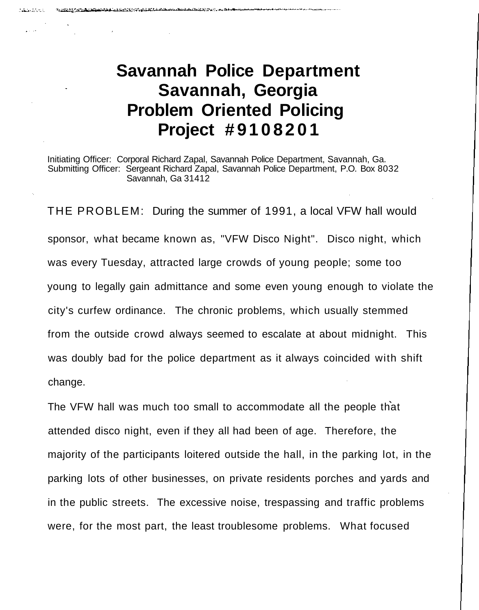### **Savannah Police Department Savannah, Georgia Problem Oriented Policing Project #910820 1**

**Marian Co** 

Initiating Officer: Corporal Richard Zapal, Savannah Police Department, Savannah, Ga. Submitting Officer: Sergeant Richard Zapal, Savannah Police Department, P.O. Box 8032 Savannah, Ga 31412

THE PROBLEM: During the summer of 1991, a local VFW hall would sponsor, what became known as, "VFW Disco Night". Disco night, which was every Tuesday, attracted large crowds of young people; some too young to legally gain admittance and some even young enough to violate the city's curfew ordinance. The chronic problems, which usually stemmed from the outside crowd always seemed to escalate at about midnight. This was doubly bad for the police department as it always coincided with shift change.

The VFW hall was much too small to accommodate all the people that attended disco night, even if they all had been of age. Therefore, the majority of the participants loitered outside the hall, in the parking lot, in the parking lots of other businesses, on private residents porches and yards and in the public streets. The excessive noise, trespassing and traffic problems were, for the most part, the least troublesome problems. What focused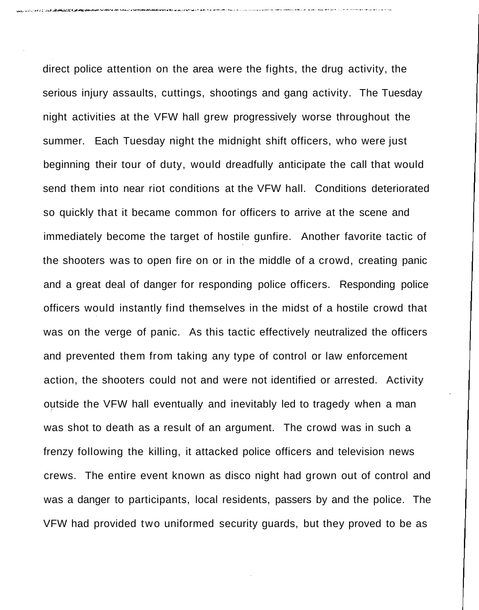direct police attention on the area were the fights, the drug activity, the serious injury assaults, cuttings, shootings and gang activity. The Tuesday night activities at the VFW hall grew progressively worse throughout the summer. Each Tuesday night the midnight shift officers, who were just beginning their tour of duty, would dreadfully anticipate the call that would send them into near riot conditions at the VFW hall. Conditions deteriorated so quickly that it became common for officers to arrive at the scene and immediately become the target of hostile gunfire. Another favorite tactic of the shooters was to open fire on or in the middle of a crowd, creating panic and a great deal of danger for responding police officers. Responding police officers would instantly find themselves in the midst of a hostile crowd that was on the verge of panic. As this tactic effectively neutralized the officers and prevented them from taking any type of control or law enforcement action, the shooters could not and were not identified or arrested. Activity outside the VFW hall eventually and inevitably led to tragedy when a man was shot to death as a result of an argument. The crowd was in such a frenzy following the killing, it attacked police officers and television news crews. The entire event known as disco night had grown out of control and was a danger to participants, local residents, passers by and the police. The VFW had provided two uniformed security guards, but they proved to be as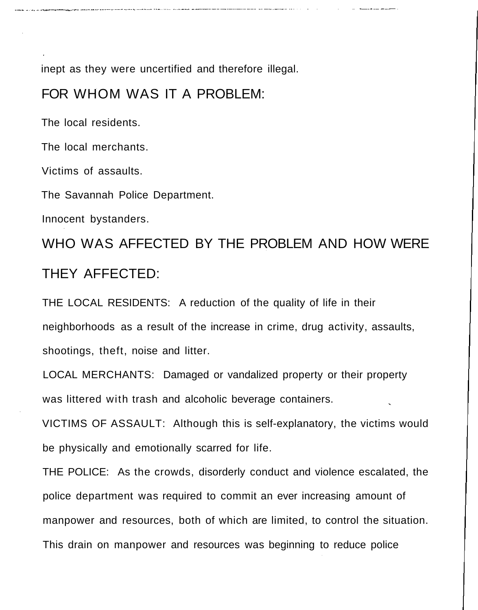inept as they were uncertified and therefore illegal.

#### FOR WHOM WAS IT A PROBLEM:

The local residents.

The local merchants.

Victims of assaults.

The Savannah Police Department.

Innocent bystanders.

WHO WAS AFFECTED BY THE PROBLEM AND HOW WERE THEY AFFECTED:

THE LOCAL RESIDENTS: A reduction of the quality of life in their neighborhoods as a result of the increase in crime, drug activity, assaults, shootings, theft, noise and litter.

LOCAL MERCHANTS: Damaged or vandalized property or their property was littered with trash and alcoholic beverage containers.

VICTIMS OF ASSAULT: Although this is self-explanatory, the victims would be physically and emotionally scarred for life.

THE POLICE: As the crowds, disorderly conduct and violence escalated, the police department was required to commit an ever increasing amount of manpower and resources, both of which are limited, to control the situation. This drain on manpower and resources was beginning to reduce police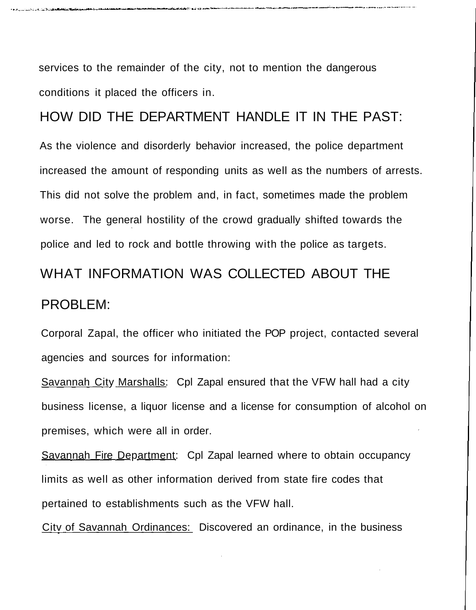services to the remainder of the city, not to mention the dangerous conditions it placed the officers in.

HOW DID THE DEPARTMENT HANDLE IT IN THE PAST: As the violence and disorderly behavior increased, the police department increased the amount of responding units as well as the numbers of arrests. This did not solve the problem and, in fact, sometimes made the problem worse. The general hostility of the crowd gradually shifted towards the police and led to rock and bottle throwing with the police as targets.

# WHAT INFORMATION WAS COLLECTED ABOUT THE PROBLEM:

Corporal Zapal, the officer who initiated the POP project, contacted several agencies and sources for information:

Savannah City Marshalls: Cpl Zapal ensured that the VFW hall had a city business license, a liquor license and a license for consumption of alcohol on premises, which were all in order.

Savannah Fire Department: Cpl Zapal learned where to obtain occupancy limits as well as other information derived from state fire codes that pertained to establishments such as the VFW hall.

City of Savannah Ordinances: Discovered an ordinance, in the business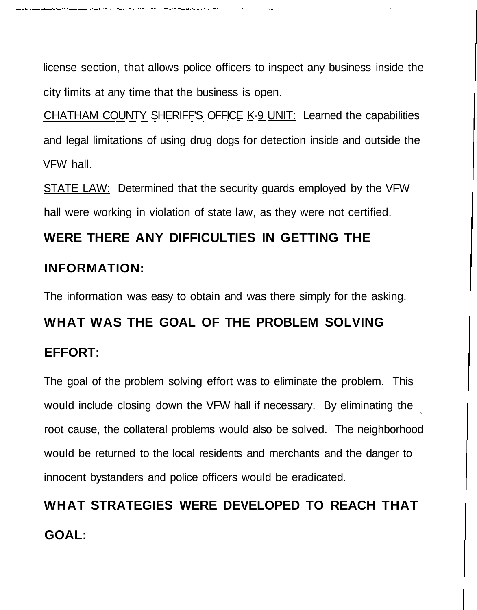license section, that allows police officers to inspect any business inside the city limits at any time that the business is open.

CHATHAM COUNTY SHERIFF'S OFFICE K-9 UNIT: Learned the capabilities and legal limitations of using drug dogs for detection inside and outside the VFW hall.

STATE LAW: Determined that the security guards employed by the VFW hall were working in violation of state law, as they were not certified.

### **WERE THERE ANY DIFFICULTIES IN GETTING THE**

#### **INFORMATION:**

The information was easy to obtain and was there simply for the asking.

## **WHAT WAS THE GOAL OF THE PROBLEM SOLVING EFFORT:**

The goal of the problem solving effort was to eliminate the problem. This would include closing down the VFW hall if necessary. By eliminating the root cause, the collateral problems would also be solved. The neighborhood would be returned to the local residents and merchants and the danger to innocent bystanders and police officers would be eradicated.

**WHAT STRATEGIES WERE DEVELOPED TO REACH THAT GOAL:**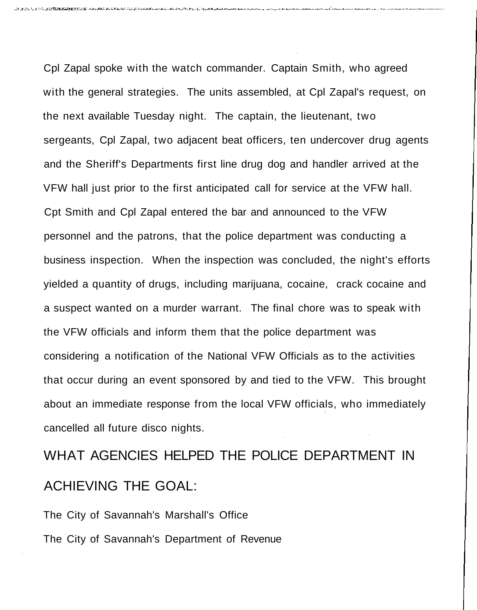Cpl Zapal spoke with the watch commander. Captain Smith, who agreed with the general strategies. The units assembled, at Cpl Zapal's request, on the next available Tuesday night. The captain, the lieutenant, two sergeants, Cpl Zapal, two adjacent beat officers, ten undercover drug agents and the Sheriff's Departments first line drug dog and handler arrived at the VFW hall just prior to the first anticipated call for service at the VFW hall. Cpt Smith and Cpl Zapal entered the bar and announced to the VFW personnel and the patrons, that the police department was conducting a business inspection. When the inspection was concluded, the night's efforts yielded a quantity of drugs, including marijuana, cocaine, crack cocaine and a suspect wanted on a murder warrant. The final chore was to speak with the VFW officials and inform them that the police department was considering a notification of the National VFW Officials as to the activities that occur during an event sponsored by and tied to the VFW. This brought about an immediate response from the local VFW officials, who immediately cancelled all future disco nights.

## WHAT AGENCIES HELPED THE POLICE DEPARTMENT IN ACHIEVING THE GOAL:

The City of Savannah's Marshall's Office The City of Savannah's Department of Revenue

. በተገለጸ የመልክት በተመ**ሰጠው የአማር ተግ**ባቢ በመልክት የሚያስተው አንድ መልክት የአገል አካል በመልክት መልክት መልክት የሚያስተው ነው። እንደ መልክት የአማር የአማር አልተው